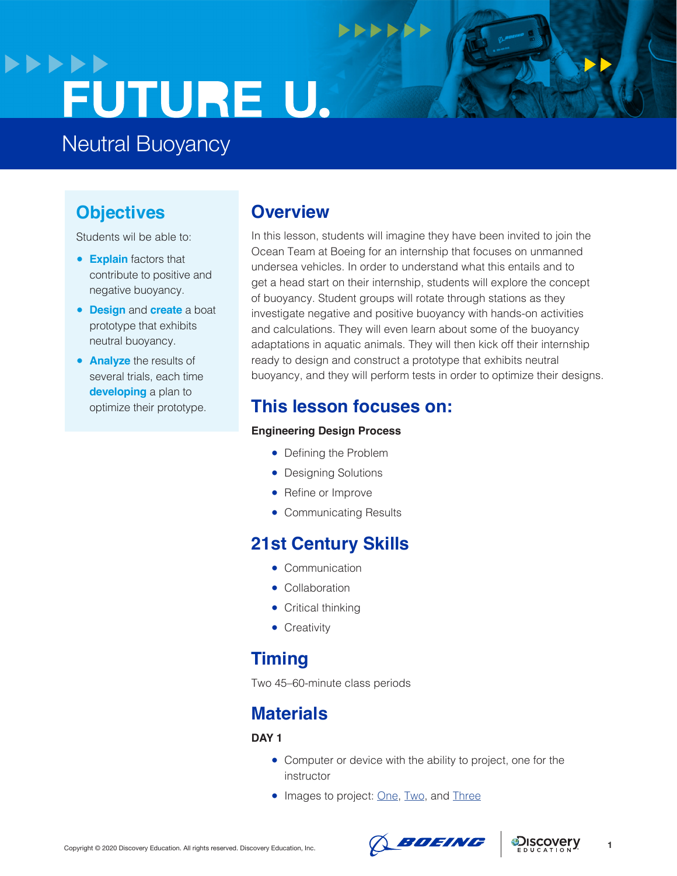## **>>>>>>** FUTURE U.

Neutral Buoyancy

## **Objectives**

Students wil be able to:

- **Explain** factors that contribute to positive and negative buoyancy.
- **Design** and **create** a boat prototype that exhibits neutral buoyancy.
- **Analyze** the results of several trials, each time **developing** a plan to optimize their prototype.

### **Overview**

In this lesson, students will imagine they have been invited to join the Ocean Team at Boeing for an internship that focuses on unmanned undersea vehicles. In order to understand what this entails and to get a head start on their internship, students will explore the concept of buoyancy. Student groups will rotate through stations as they investigate negative and positive buoyancy with hands-on activities and calculations. They will even learn about some of the buoyancy adaptations in aquatic animals. They will then kick off their internship ready to design and construct a prototype that exhibits neutral buoyancy, and they will perform tests in order to optimize their designs.

**NNNNNN** 

### **This lesson focuses on:**

#### **Engineering Design Process**

- Defining the Problem
- Designing Solutions
- Refine or Improve
- Communicating Results

### **21st Century Skills**

- Communication
- Collaboration
- Critical thinking
- Creativity

## **Timing**

Two 45–60-minute class periods

## **Materials**

#### **DAY 1**

- Computer or device with the ability to project, one for the instructor
- Images to project: [One](file:///Users/laurasobrado/OneDrive%20-%20Discovery%20Education/CEP-Working-Laura/Boeing/2020/Curriculum/3x%20Lessons/Links/shutterstock_1419269822.jpg), [Two](https://workboatdc-static.s3.amazonaws.com/uploads/2019/02/Boeing-Echo-Voyager-rendering-702x336.jpg), and [Three](file:///Users/laurasobrado/OneDrive%20-%20Discovery%20Education/CEP-Working-Laura/Boeing/2020/Curriculum/3x%20Lessons/Links/shutterstock_533941270.jpg)



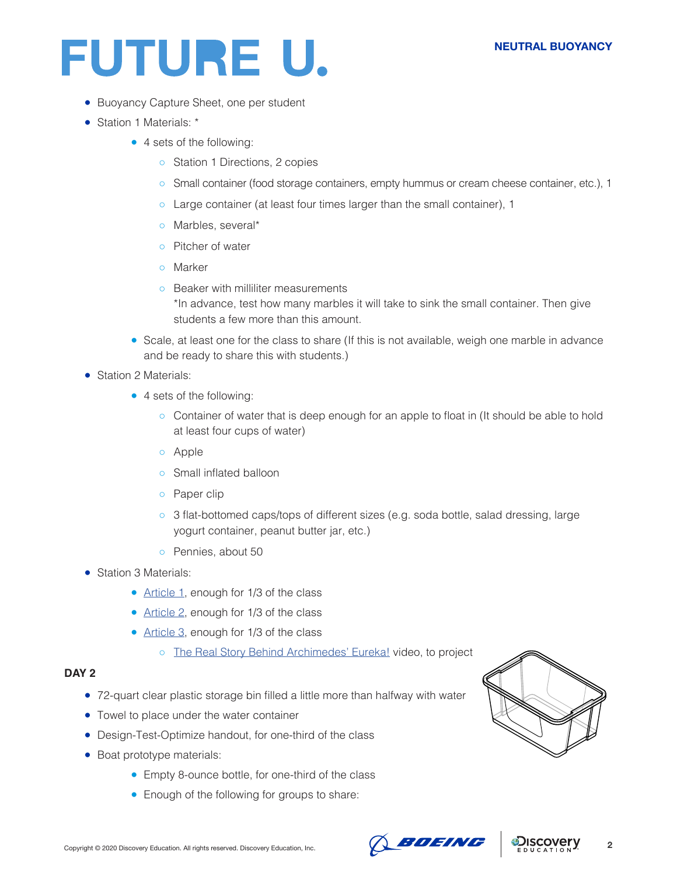#### **NEUTRAL BUOYANCY**

## FUTURE U.

- Buoyancy Capture Sheet, one per student
- Station 1 Materials: \*
	- 4 sets of the following:
		- Station 1 Directions, 2 copies
		- Small container (food storage containers, empty hummus or cream cheese container, etc.), 1
		- Large container (at least four times larger than the small container), 1
		- Marbles, several\*
		- Pitcher of water
		- Marker
		- Beaker with milliliter measurements \*In advance, test how many marbles it will take to sink the small container. Then give students a few more than this amount.
	- Scale, at least one for the class to share (If this is not available, weigh one marble in advance and be ready to share this with students.)
- Station 2 Materials:
	- 4 sets of the following:
		- Container of water that is deep enough for an apple to float in (It should be able to hold at least four cups of water)
		- Apple
		- Small inflated balloon
		- Paper clip
		- 3 flat-bottomed caps/tops of different sizes (e.g. soda bottle, salad dressing, large yogurt container, peanut butter jar, etc.)
		- Pennies, about 50
- Station 3 Materials:
	- [Article 1](https://www.theatlantic.com/science/archive/2017/04/flight-of-the-hippopotamus/524343/), enough for 1/3 of the class
	- [Article 2](https://www.sciencenewsforstudents.org/article/diving-rolling-and-floating-alligator-style), enough for 1/3 of the class
	- [Article 3](https://animals.howstuffworks.com/animal-facts/question629.htm), enough for 1/3 of the class
		- [The Real Story Behind Archimedes' Eureka!](https://www.youtube.com/watch?v=0v86Yk14rf8) video, to project

#### **DAY 2**

- 72-quart clear plastic storage bin filled a little more than halfway with water
- Towel to place under the water container
- Design-Test-Optimize handout, for one-third of the class
- Boat prototype materials:
	- Empty 8-ounce bottle, for one-third of the class
	- Enough of the following for groups to share:





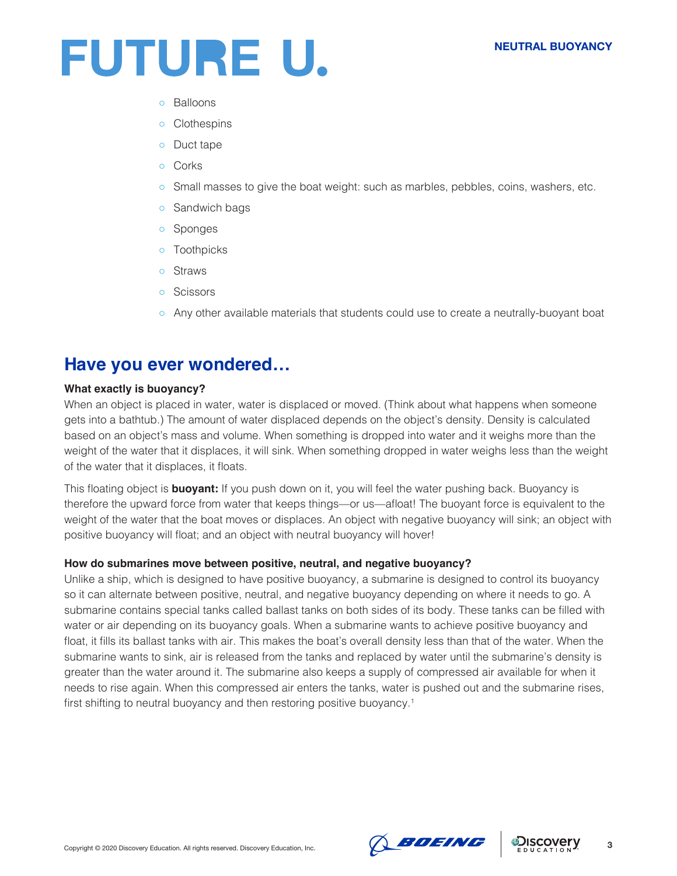#### **NEUTRAL BUOYANCY**



- Balloons
- Clothespins
- Duct tape
- Corks
- Small masses to give the boat weight: such as marbles, pebbles, coins, washers, etc.
- o Sandwich bags
- Sponges
- Toothpicks
- Straws
- Scissors
- Any other available materials that students could use to create a neutrally-buoyant boat

### **Have you ever wondered…**

#### **What exactly is buoyancy?**

When an object is placed in water, water is displaced or moved. (Think about what happens when someone gets into a bathtub.) The amount of water displaced depends on the object's density. Density is calculated based on an object's mass and volume. When something is dropped into water and it weighs more than the weight of the water that it displaces, it will sink. When something dropped in water weighs less than the weight of the water that it displaces, it floats.

This floating object is **buoyant:** If you push down on it, you will feel the water pushing back. Buoyancy is therefore the upward force from water that keeps things—or us—afloat! The buoyant force is equivalent to the weight of the water that the boat moves or displaces. An object with negative buoyancy will sink; an object with positive buoyancy will float; and an object with neutral buoyancy will hover!

#### **How do submarines move between positive, neutral, and negative buoyancy?**

Unlike a ship, which is designed to have positive buoyancy, a submarine is designed to control its buoyancy so it can alternate between positive, neutral, and negative buoyancy depending on where it needs to go. A submarine contains special tanks called ballast tanks on both sides of its body. These tanks can be filled with water or air depending on its buoyancy goals. When a submarine wants to achieve positive buoyancy and float, it fills its ballast tanks with air. This makes the boat's overall density less than that of the water. When the submarine wants to sink, air is released from the tanks and replaced by water until the submarine's density is greater than the water around it. The submarine also keeps a supply of compressed air available for when it needs to rise again. When this compressed air enters the tanks, water is pushed out and the submarine rises, first shifting to neutral buoyancy and then restoring positive buoyancy.<sup>1</sup>



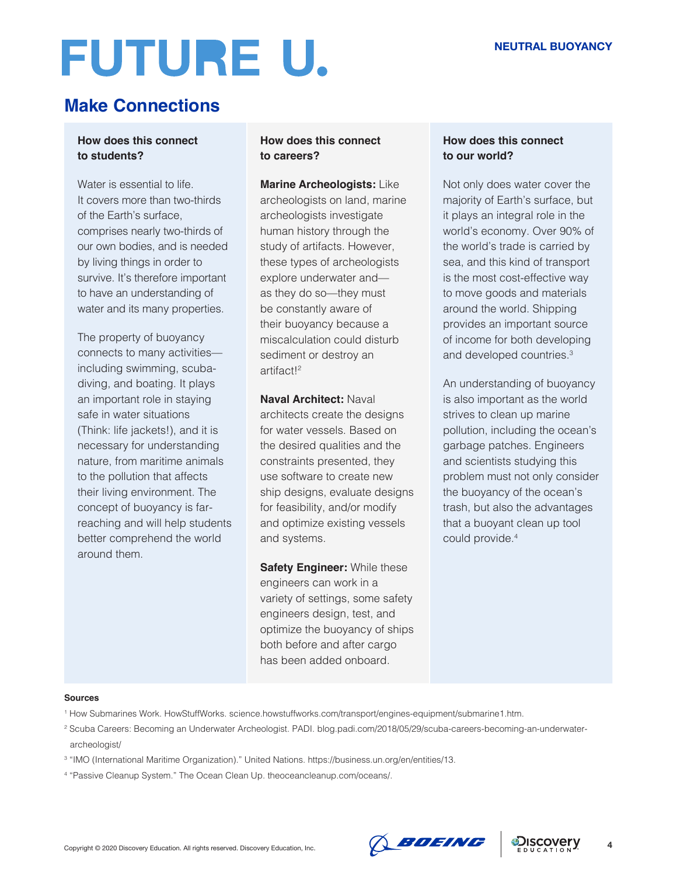# **FUTURE U.**

## **Make Connections**

#### **How does this connect to students?**

Water is essential to life. It covers more than two-thirds of the Earth's surface, comprises nearly two-thirds of our own bodies, and is needed by living things in order to survive. It's therefore important to have an understanding of water and its many properties.

The property of buoyancy connects to many activities including swimming, scubadiving, and boating. It plays an important role in staying safe in water situations (Think: life jackets!), and it is necessary for understanding nature, from maritime animals to the pollution that affects their living environment. The concept of buoyancy is farreaching and will help students better comprehend the world around them.

#### **How does this connect to careers?**

**Marine Archeologists:** Like archeologists on land, marine archeologists investigate human history through the study of artifacts. However, these types of archeologists explore underwater and as they do so—they must be constantly aware of their buoyancy because a miscalculation could disturb sediment or destroy an artifact!2

**Naval Architect:** Naval architects create the designs for water vessels. Based on the desired qualities and the constraints presented, they use software to create new ship designs, evaluate designs for feasibility, and/or modify and optimize existing vessels and systems.

**Safety Engineer: While these** engineers can work in a variety of settings, some safety engineers design, test, and optimize the buoyancy of ships both before and after cargo has been added onboard.

#### **How does this connect to our world?**

Not only does water cover the majority of Earth's surface, but it plays an integral role in the world's economy. Over 90% of the world's trade is carried by sea, and this kind of transport is the most cost-effective way to move goods and materials around the world. Shipping provides an important source of income for both developing and developed countries.3

An understanding of buoyancy is also important as the world strives to clean up marine pollution, including the ocean's garbage patches. Engineers and scientists studying this problem must not only consider the buoyancy of the ocean's trash, but also the advantages that a buoyant clean up tool could provide.4

#### **Sources**

- 1 How Submarines Work. HowStuffWorks. science.howstuffworks.com/transport/engines-equipment/submarine1.htm.
- 2 Scuba Careers: Becoming an Underwater Archeologist. PADI. blog.padi.com/2018/05/29/scuba-careers-becoming-an-underwater archeologist/
- 3 "IMO (International Maritime Organization)." United Nations. https://business.un.org/en/entities/13.
- 4 "Passive Cleanup System." The Ocean Clean Up. theoceancleanup.com/oceans/.



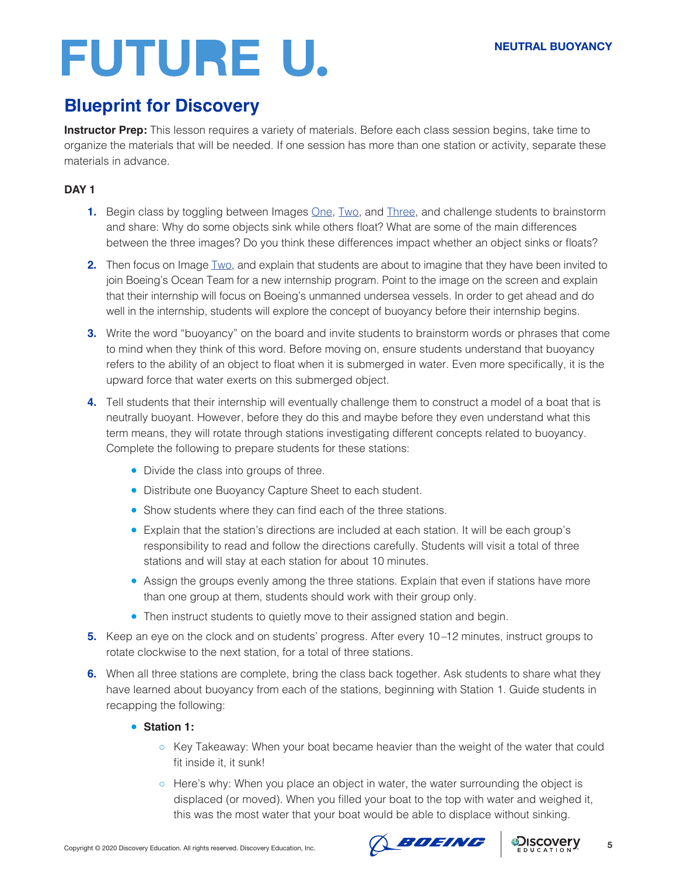## **FUTURE U.**

## **Blueprint for Discovery**

**Instructor Prep:** This lesson requires a variety of materials. Before each class session begins, take time to organize the materials that will be needed. If one session has more than one station or activity, separate these materials in advance.

#### **DAY 1**

- **1.** Begin class by toggling between Images **One**, [Two,](https://workboatdc-static.s3.amazonaws.com/uploads/2019/02/Boeing-Echo-Voyager-rendering-702x336.jpg) and [Three,](https://www.marineinsight.com/wp-content/uploads/2012/02/prince-albert.jpg) and challenge students to brainstorm and share: Why do some objects sink while others float? What are some of the main differences between the three images? Do you think these differences impact whether an object sinks or floats?
- **2.** Then focus on Image [Two](https://workboatdc-static.s3.amazonaws.com/uploads/2019/02/Boeing-Echo-Voyager-rendering-702x336.jpg), and explain that students are about to imagine that they have been invited to join Boeing's Ocean Team for a new internship program. Point to the image on the screen and explain that their internship will focus on Boeing's unmanned undersea vessels. In order to get ahead and do well in the internship, students will explore the concept of buoyancy before their internship begins.
- **3.** Write the word "buoyancy" on the board and invite students to brainstorm words or phrases that come to mind when they think of this word. Before moving on, ensure students understand that buoyancy refers to the ability of an object to float when it is submerged in water. Even more specifically, it is the upward force that water exerts on this submerged object.
- **4.** Tell students that their internship will eventually challenge them to construct a model of a boat that is neutrally buoyant. However, before they do this and maybe before they even understand what this term means, they will rotate through stations investigating different concepts related to buoyancy. Complete the following to prepare students for these stations:
	- Divide the class into groups of three.
	- Distribute one Buoyancy Capture Sheet to each student.
	- Show students where they can find each of the three stations.
	- Explain that the station's directions are included at each station. It will be each group's responsibility to read and follow the directions carefully. Students will visit a total of three stations and will stay at each station for about 10 minutes.
	- Assign the groups evenly among the three stations. Explain that even if stations have more than one group at them, students should work with their group only.
	- Then instruct students to quietly move to their assigned station and begin.
- **5.** Keep an eye on the clock and on students' progress. After every 10 –12 minutes, instruct groups to rotate clockwise to the next station, for a total of three stations.
- **6.** When all three stations are complete, bring the class back together. Ask students to share what they have learned about buoyancy from each of the stations, beginning with Station 1. Guide students in recapping the following:

#### ● **Station 1:**

- Key Takeaway: When your boat became heavier than the weight of the water that could fit inside it, it sunk!
- Here's why: When you place an object in water, the water surrounding the object is displaced (or moved). When you filled your boat to the top with water and weighed it, this was the most water that your boat would be able to displace without sinking.

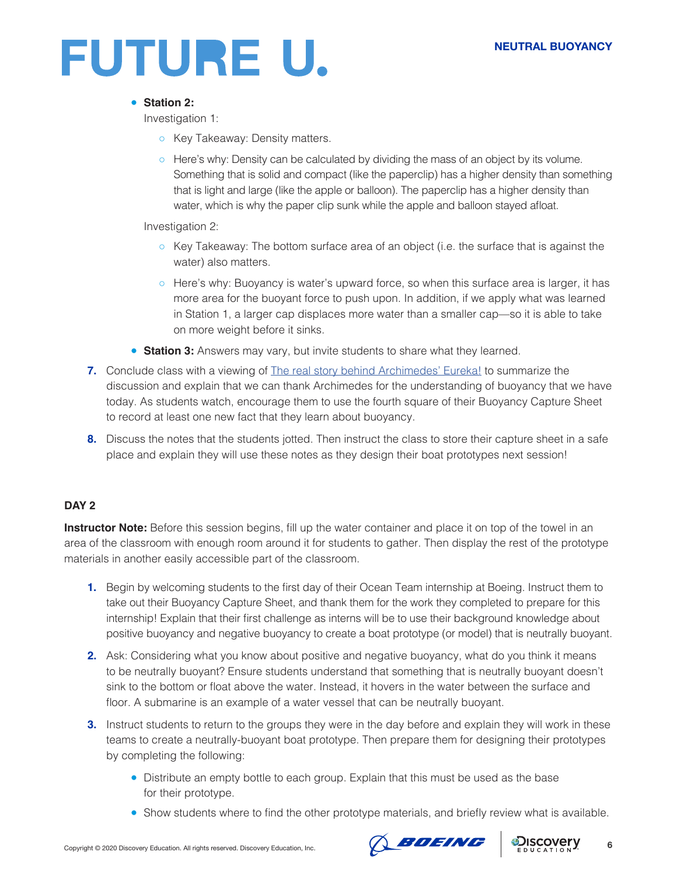

#### ● **Station 2:**

Investigation 1:

- o Key Takeaway: Density matters.
- Here's why: Density can be calculated by dividing the mass of an object by its volume. Something that is solid and compact (like the paperclip) has a higher density than something that is light and large (like the apple or balloon). The paperclip has a higher density than water, which is why the paper clip sunk while the apple and balloon stayed afloat.

Investigation 2:

- Key Takeaway: The bottom surface area of an object (i.e. the surface that is against the water) also matters.
- Here's why: Buoyancy is water's upward force, so when this surface area is larger, it has more area for the buoyant force to push upon. In addition, if we apply what was learned in Station 1, a larger cap displaces more water than a smaller cap—so it is able to take on more weight before it sinks.
- **Station 3:** Answers may vary, but invite students to share what they learned.
- **7.** Conclude class with a viewing of [The real story behind Archimedes' Eureka!](https://www.youtube.com/watch?v=0v86Yk14rf8) to summarize the discussion and explain that we can thank Archimedes for the understanding of buoyancy that we have today. As students watch, encourage them to use the fourth square of their Buoyancy Capture Sheet to record at least one new fact that they learn about buoyancy.
- **8.** Discuss the notes that the students jotted. Then instruct the class to store their capture sheet in a safe place and explain they will use these notes as they design their boat prototypes next session!

#### **DAY 2**

**Instructor Note:** Before this session begins, fill up the water container and place it on top of the towel in an area of the classroom with enough room around it for students to gather. Then display the rest of the prototype materials in another easily accessible part of the classroom.

- **1.** Begin by welcoming students to the first day of their Ocean Team internship at Boeing. Instruct them to take out their Buoyancy Capture Sheet, and thank them for the work they completed to prepare for this internship! Explain that their first challenge as interns will be to use their background knowledge about positive buoyancy and negative buoyancy to create a boat prototype (or model) that is neutrally buoyant.
- **2.** Ask: Considering what you know about positive and negative buoyancy, what do you think it means to be neutrally buoyant? Ensure students understand that something that is neutrally buoyant doesn't sink to the bottom or float above the water. Instead, it hovers in the water between the surface and floor. A submarine is an example of a water vessel that can be neutrally buoyant.
- **3.** Instruct students to return to the groups they were in the day before and explain they will work in these teams to create a neutrally-buoyant boat prototype. Then prepare them for designing their prototypes by completing the following:
	- Distribute an empty bottle to each group. Explain that this must be used as the base for their prototype.
	- Show students where to find the other prototype materials, and briefly review what is available.



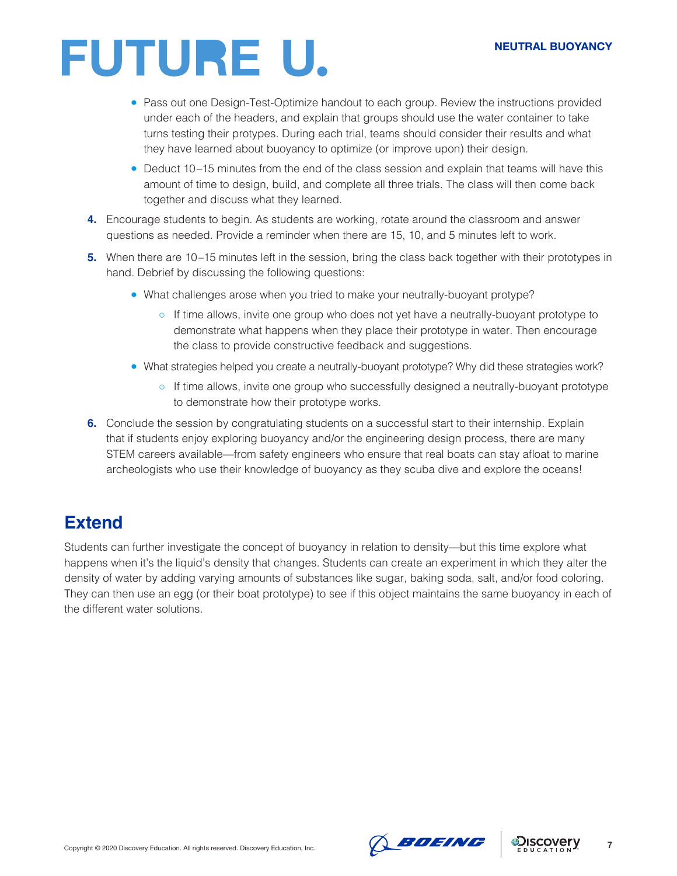#### **NEUTRAL BUOYANCY**

## FUTURE U.

- Pass out one Design-Test-Optimize handout to each group. Review the instructions provided under each of the headers, and explain that groups should use the water container to take turns testing their protypes. During each trial, teams should consider their results and what they have learned about buoyancy to optimize (or improve upon) their design.
- Deduct 10–15 minutes from the end of the class session and explain that teams will have this amount of time to design, build, and complete all three trials. The class will then come back together and discuss what they learned.
- **4.** Encourage students to begin. As students are working, rotate around the classroom and answer questions as needed. Provide a reminder when there are 15, 10, and 5 minutes left to work.
- **5.** When there are 10–15 minutes left in the session, bring the class back together with their prototypes in hand. Debrief by discussing the following questions:
	- What challenges arose when you tried to make your neutrally-buoyant protype?
		- If time allows, invite one group who does not yet have a neutrally-buoyant prototype to demonstrate what happens when they place their prototype in water. Then encourage the class to provide constructive feedback and suggestions.
	- What strategies helped you create a neutrally-buoyant prototype? Why did these strategies work?
		- If time allows, invite one group who successfully designed a neutrally-buoyant prototype to demonstrate how their prototype works.
- **6.** Conclude the session by congratulating students on a successful start to their internship. Explain that if students enjoy exploring buoyancy and/or the engineering design process, there are many STEM careers available—from safety engineers who ensure that real boats can stay afloat to marine archeologists who use their knowledge of buoyancy as they scuba dive and explore the oceans!

### **Extend**

Students can further investigate the concept of buoyancy in relation to density—but this time explore what happens when it's the liquid's density that changes. Students can create an experiment in which they alter the density of water by adding varying amounts of substances like sugar, baking soda, salt, and/or food coloring. They can then use an egg (or their boat prototype) to see if this object maintains the same buoyancy in each of the different water solutions.

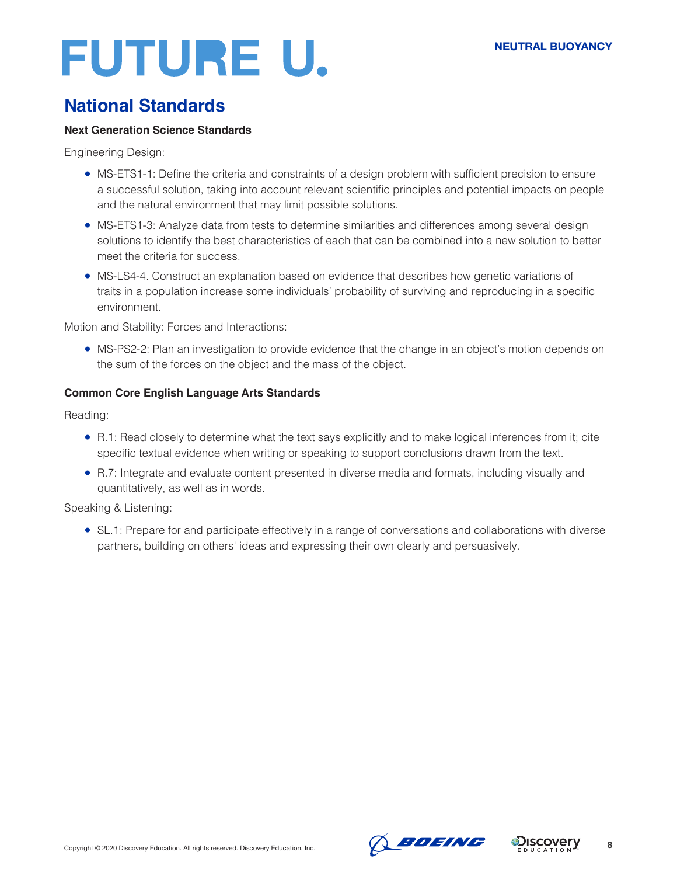## FUTURE U.

## **National Standards**

#### **Next Generation Science Standards**

Engineering Design:

- MS-ETS1-1: Define the criteria and constraints of a design problem with sufficient precision to ensure a successful solution, taking into account relevant scientific principles and potential impacts on people and the natural environment that may limit possible solutions.
- MS-ETS1-3: Analyze data from tests to determine similarities and differences among several design solutions to identify the best characteristics of each that can be combined into a new solution to better meet the criteria for success.
- MS-LS4-4. Construct an explanation based on evidence that describes how genetic variations of traits in a population increase some individuals' probability of surviving and reproducing in a specific environment.

Motion and Stability: Forces and Interactions:

• MS-PS2-2: Plan an investigation to provide evidence that the change in an object's motion depends on the sum of the forces on the object and the mass of the object.

#### **Common Core English Language Arts Standards**

Reading:

- R.1: Read closely to determine what the text says explicitly and to make logical inferences from it; cite specific textual evidence when writing or speaking to support conclusions drawn from the text.
- R.7: Integrate and evaluate content presented in diverse media and formats, including visually and quantitatively, as well as in words.

Speaking & Listening:

• SL.1: Prepare for and participate effectively in a range of conversations and collaborations with diverse partners, building on others' ideas and expressing their own clearly and persuasively.





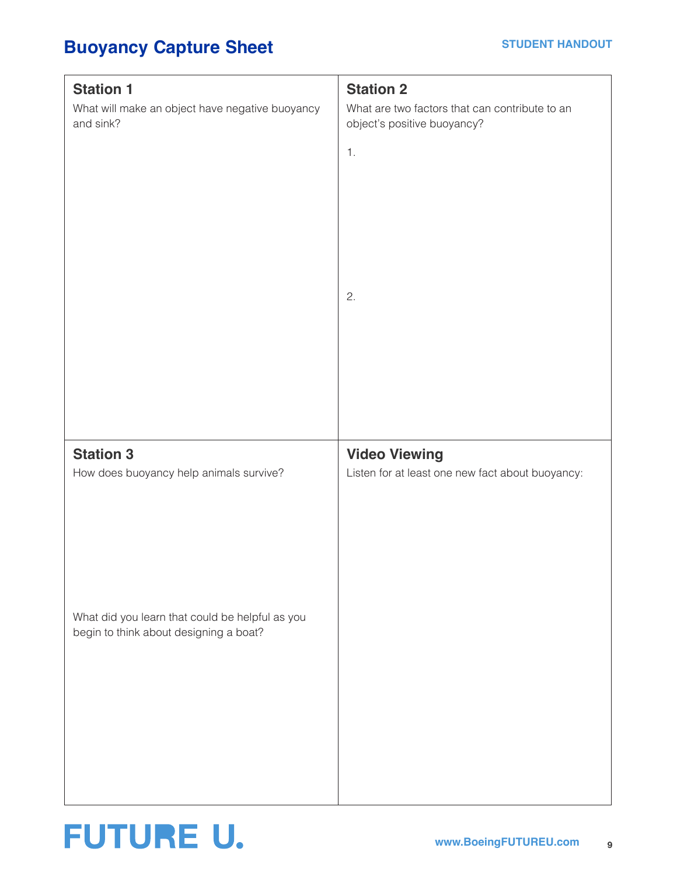## **Buoyancy Capture Sheet**

| <b>Station 1</b><br>What will make an object have negative buoyancy<br>and sink?                                                                         | <b>Station 2</b><br>What are two factors that can contribute to an<br>object's positive buoyancy?<br>1.<br>2. |
|----------------------------------------------------------------------------------------------------------------------------------------------------------|---------------------------------------------------------------------------------------------------------------|
| <b>Station 3</b><br>How does buoyancy help animals survive?<br>What did you learn that could be helpful as you<br>begin to think about designing a boat? | <b>Video Viewing</b><br>Listen for at least one new fact about buoyancy:                                      |

## **FUTURE U.**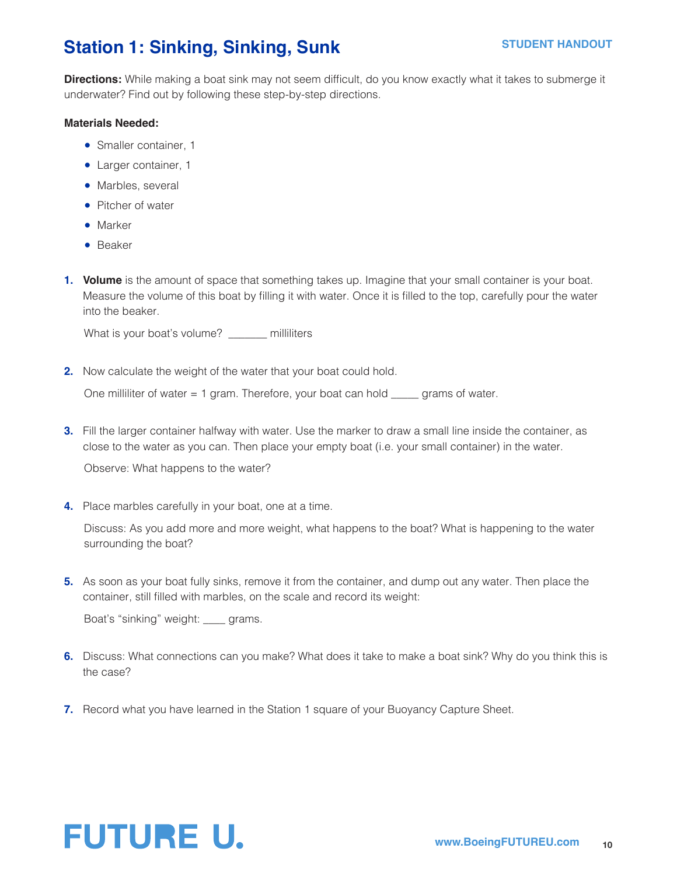## **Station 1: Sinking, Sinking, Sunk**

**Directions:** While making a boat sink may not seem difficult, do you know exactly what it takes to submerge it underwater? Find out by following these step-by-step directions.

#### **Materials Needed:**

- Smaller container, 1
- Larger container, 1
- Marbles, several
- Pitcher of water
- Marker
- Beaker
- **1. Volume** is the amount of space that something takes up. Imagine that your small container is your boat. Measure the volume of this boat by filling it with water. Once it is filled to the top, carefully pour the water into the beaker.

What is your boat's volume? \_\_\_\_\_\_ milliliters

**2.** Now calculate the weight of the water that your boat could hold.

One milliliter of water = 1 gram. Therefore, your boat can hold \_\_\_\_\_ grams of water.

**3.** Fill the larger container halfway with water. Use the marker to draw a small line inside the container, as close to the water as you can. Then place your empty boat (i.e. your small container) in the water.

Observe: What happens to the water?

**4.** Place marbles carefully in your boat, one at a time.

Discuss: As you add more and more weight, what happens to the boat? What is happening to the water surrounding the boat?

**5.** As soon as your boat fully sinks, remove it from the container, and dump out any water. Then place the container, still filled with marbles, on the scale and record its weight:

Boat's "sinking" weight: \_\_\_\_ grams.

- **6.** Discuss: What connections can you make? What does it take to make a boat sink? Why do you think this is the case?
- **7.** Record what you have learned in the Station 1 square of your Buoyancy Capture Sheet.

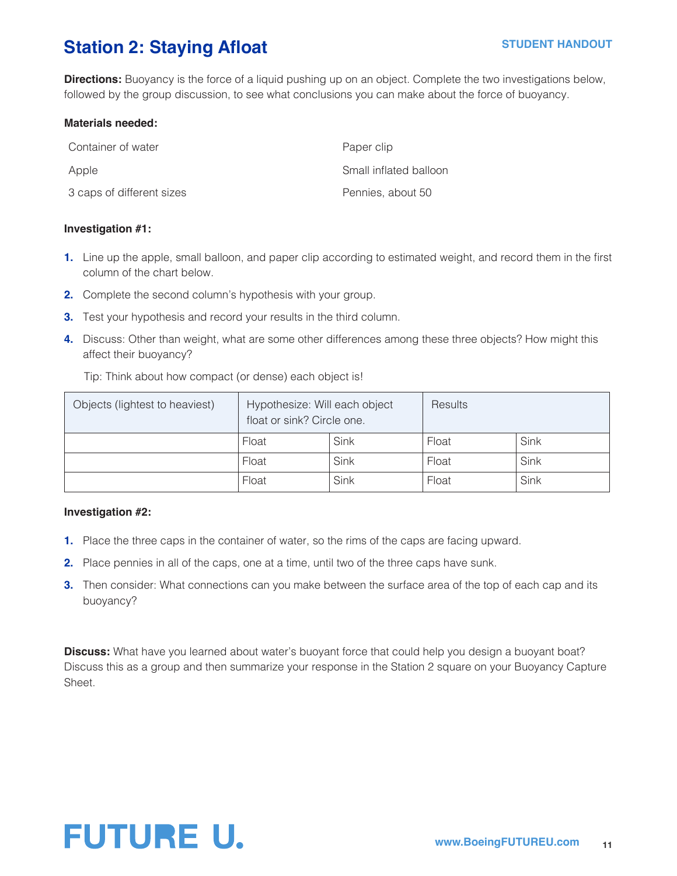## **Station 2: Staying Afloat**

**Directions:** Buoyancy is the force of a liquid pushing up on an object. Complete the two investigations below, followed by the group discussion, to see what conclusions you can make about the force of buoyancy.

#### **Materials needed:**

| Container of water        | Paper clip             |
|---------------------------|------------------------|
| Apple                     | Small inflated balloon |
| 3 caps of different sizes | Pennies, about 50      |

#### **Investigation #1:**

- **1.** Line up the apple, small balloon, and paper clip according to estimated weight, and record them in the first column of the chart below.
- **2.** Complete the second column's hypothesis with your group.
- **3.** Test your hypothesis and record your results in the third column.
- **4.** Discuss: Other than weight, what are some other differences among these three objects? How might this affect their buoyancy?

Tip: Think about how compact (or dense) each object is!

| Objects (lightest to heaviest) | Hypothesize: Will each object<br>float or sink? Circle one. |      | <b>Results</b> |      |
|--------------------------------|-------------------------------------------------------------|------|----------------|------|
|                                | Float                                                       | Sink | Float          | Sink |
|                                | Float                                                       | Sink | Float          | Sink |
|                                | Float                                                       | Sink | Float          | Sink |

#### **Investigation #2:**

- **1.** Place the three caps in the container of water, so the rims of the caps are facing upward.
- **2.** Place pennies in all of the caps, one at a time, until two of the three caps have sunk.
- **3.** Then consider: What connections can you make between the surface area of the top of each cap and its buoyancy?

**Discuss:** What have you learned about water's buoyant force that could help you design a buoyant boat? Discuss this as a group and then summarize your response in the Station 2 square on your Buoyancy Capture Sheet.

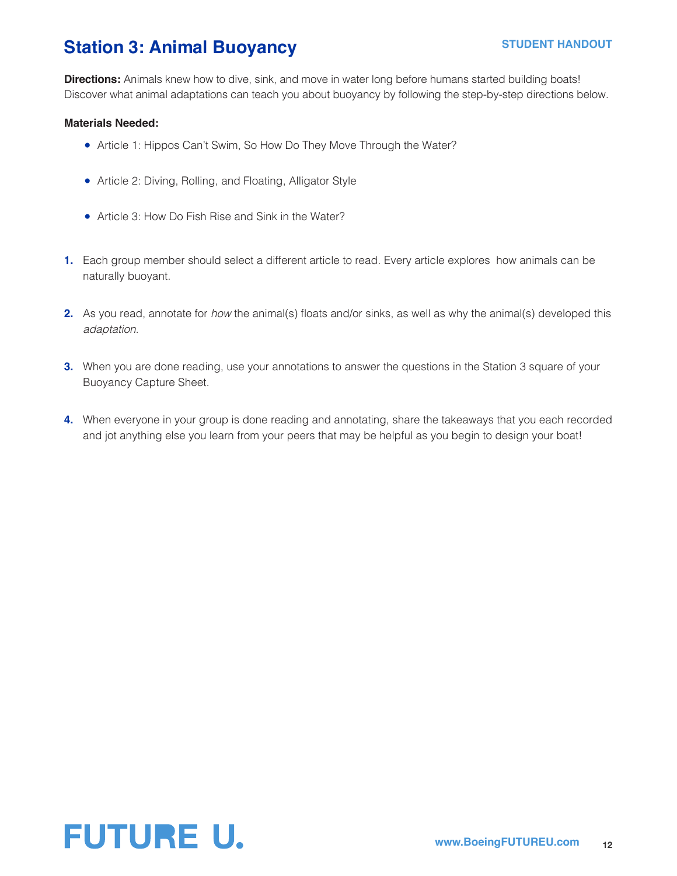## **Station 3: Animal Buoyancy**

**Directions:** Animals knew how to dive, sink, and move in water long before humans started building boats! Discover what animal adaptations can teach you about buoyancy by following the step-by-step directions below.

#### **Materials Needed:**

- Article 1: Hippos Can't Swim, So How Do They Move Through the Water?
- Article 2: Diving, Rolling, and Floating, Alligator Style
- Article 3: How Do Fish Rise and Sink in the Water?
- **1.** Each group member should select a different article to read. Every article explores how animals can be naturally buoyant.
- **2.** As you read, annotate for *how* the animal(s) floats and/or sinks, as well as why the animal(s) developed this *adaptation*.
- **3.** When you are done reading, use your annotations to answer the questions in the Station 3 square of your Buoyancy Capture Sheet.
- **4.** When everyone in your group is done reading and annotating, share the takeaways that you each recorded and jot anything else you learn from your peers that may be helpful as you begin to design your boat!